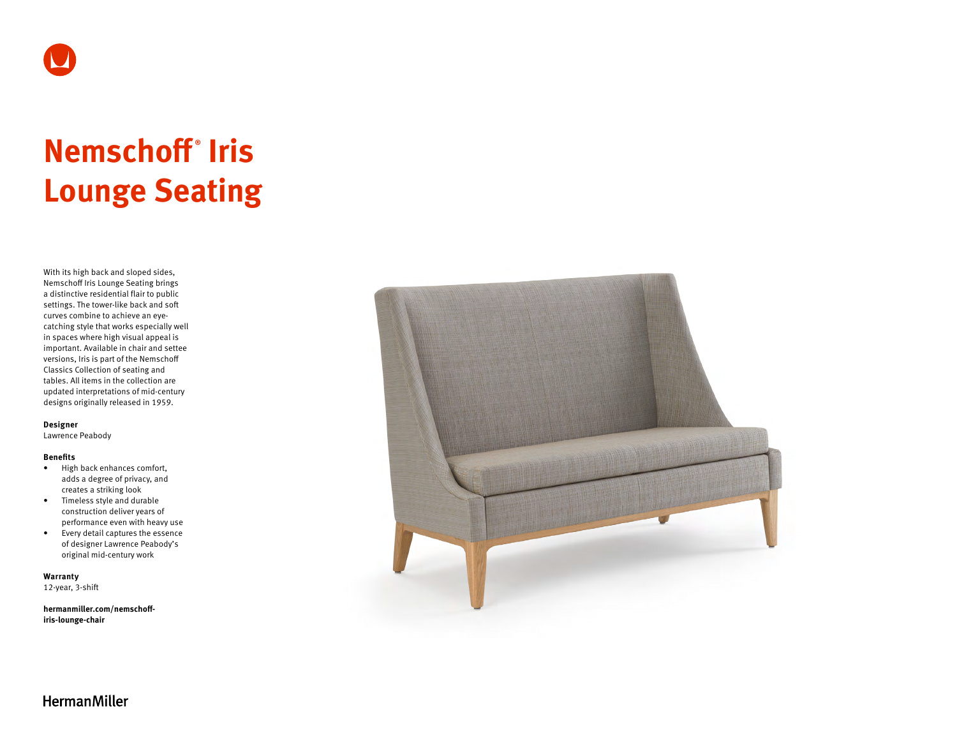

# **Nemschoff ® Iris Lounge Seating**

With its high back and sloped sides, Nemschoff Iris Lounge Seating brings a distinctive residential flair to public settings. The tower-like back and soft curves combine to achieve an eyecatching style that works especially well in spaces where high visual appeal is important. Available in chair and settee versions, Iris is part of the Nemschoff Classics Collection of seating and tables. All items in the collection are updated interpretations of mid-century designs originally released in 1959.

#### **Designer**

Lawrence Peabody

#### **Benefits**

- High back enhances comfort, adds a degree of privacy, and creates a striking look
- Timeless style and durable construction deliver years of performance even with heavy use
- Every detail captures the essence of designer Lawrence Peabody's original mid-century work

**Warranty** 

12-year, 3-shift

**[hermanmiller.com/nemschoff](http://hermanmiller.com/nemschoff-iris-lounge-chair)[iris-lounge-chair](http://hermanmiller.com/nemschoff-iris-lounge-chair)**